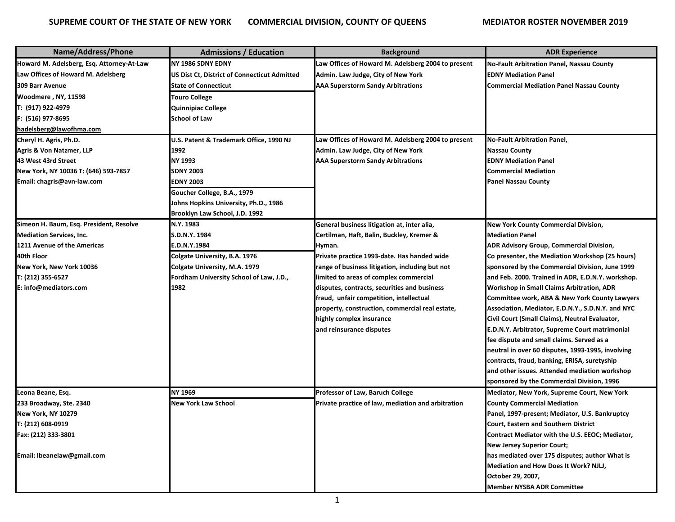| Name/Address/Phone                        | <b>Admissions / Education</b>                | <b>Background</b>                                  | <b>ADR Experience</b>                             |
|-------------------------------------------|----------------------------------------------|----------------------------------------------------|---------------------------------------------------|
| Howard M. Adelsberg, Esq. Attorney-At-Law | NY 1986 SDNY EDNY                            | Law Offices of Howard M. Adelsberg 2004 to present | <b>No-Fault Arbitration Panel, Nassau County</b>  |
| Law Offices of Howard M. Adelsberg        | US Dist Ct, District of Connecticut Admitted | Admin. Law Judge, City of New York                 | <b>EDNY Mediation Panel</b>                       |
| 309 Barr Avenue                           | <b>State of Connecticut</b>                  | <b>AAA Superstorm Sandy Arbitrations</b>           | <b>Commercial Mediation Panel Nassau County</b>   |
| Woodmere, NY, 11598                       | Touro College                                |                                                    |                                                   |
| T: (917) 922-4979                         | <b>Quinnipiac College</b>                    |                                                    |                                                   |
| F: (516) 977-8695                         | <b>School of Law</b>                         |                                                    |                                                   |
| hadelsberg@lawofhma.com                   |                                              |                                                    |                                                   |
| Cheryl H. Agris, Ph.D.                    | U.S. Patent & Trademark Office, 1990 NJ      | Law Offices of Howard M. Adelsberg 2004 to present | <b>No-Fault Arbitration Panel,</b>                |
| <b>Agris &amp; Von Natzmer, LLP</b>       | 1992                                         | Admin. Law Judge, City of New York                 | <b>Nassau County</b>                              |
| 43 West 43rd Street                       | NY 1993                                      | <b>AAA Superstorm Sandy Arbitrations</b>           | <b>EDNY Mediation Panel</b>                       |
| New York, NY 10036 T: (646) 593-7857      | <b>SDNY 2003</b>                             |                                                    | <b>Commercial Mediation</b>                       |
| Email: chagris@avn-law.com                | <b>EDNY 2003</b>                             |                                                    | <b>Panel Nassau County</b>                        |
|                                           | Goucher College, B.A., 1979                  |                                                    |                                                   |
|                                           | Johns Hopkins University, Ph.D., 1986        |                                                    |                                                   |
|                                           | Brooklyn Law School, J.D. 1992               |                                                    |                                                   |
| Simeon H. Baum, Esq. President, Resolve   | N.Y. 1983                                    | General business litigation at, inter alia,        | <b>New York County Commercial Division,</b>       |
| <b>Mediation Services, Inc.</b>           | S.D.N.Y. 1984                                | Certilman, Haft, Balin, Buckley, Kremer &          | <b>Mediation Panel</b>                            |
| 1211 Avenue of the Americas               | E.D.N.Y.1984                                 | Hyman.                                             | ADR Advisory Group, Commercial Division,          |
| 40th Floor                                | Colgate University, B.A. 1976                | Private practice 1993-date. Has handed wide        | Co presenter, the Mediation Workshop (25 hours)   |
| New York, New York 10036                  | Colgate University, M.A. 1979                | range of business litigation, including but not    | sponsored by the Commercial Division, June 1999   |
| T: (212) 355-6527                         | Fordham University School of Law, J.D.,      | limited to areas of complex commercial             | and Feb. 2000. Trained in ADR, E.D.N.Y. workshop. |
| E: info@mediators.com                     | 1982                                         | disputes, contracts, securities and business       | Workshop in Small Claims Arbitration, ADR         |
|                                           |                                              | fraud, unfair competition, intellectual            | Committee work, ABA & New York County Lawyers     |
|                                           |                                              | property, construction, commercial real estate,    | Association, Mediator, E.D.N.Y., S.D.N.Y. and NYC |
|                                           |                                              | highly complex insurance                           | Civil Court (Small Claims), Neutral Evaluator,    |
|                                           |                                              | and reinsurance disputes                           | E.D.N.Y. Arbitrator, Supreme Court matrimonial    |
|                                           |                                              |                                                    | fee dispute and small claims. Served as a         |
|                                           |                                              |                                                    | neutral in over 60 disputes, 1993-1995, involving |
|                                           |                                              |                                                    | contracts, fraud, banking, ERISA, suretyship      |
|                                           |                                              |                                                    | and other issues. Attended mediation workshop     |
|                                           |                                              |                                                    | sponsored by the Commercial Division, 1996        |
| Leona Beane, Esq.                         | NY 1969                                      | Professor of Law, Baruch College                   | Mediator, New York, Supreme Court, New York       |
| 233 Broadway, Ste. 2340                   | New York Law School                          | Private practice of law, mediation and arbitration | <b>County Commercial Mediation</b>                |
| New York, NY 10279                        |                                              |                                                    | Panel, 1997-present; Mediator, U.S. Bankruptcy    |
| T: (212) 608-0919                         |                                              |                                                    | <b>Court, Eastern and Southern District</b>       |
| Fax: (212) 333-3801                       |                                              |                                                    | Contract Mediator with the U.S. EEOC; Mediator,   |
|                                           |                                              |                                                    | <b>New Jersey Superior Court;</b>                 |
| Email: Ibeanelaw@gmail.com                |                                              |                                                    | has mediated over 175 disputes; author What is    |
|                                           |                                              |                                                    | Mediation and How Does It Work? NJLJ,             |
|                                           |                                              |                                                    | October 29, 2007,                                 |
|                                           |                                              |                                                    | <b>Member NYSBA ADR Committee</b>                 |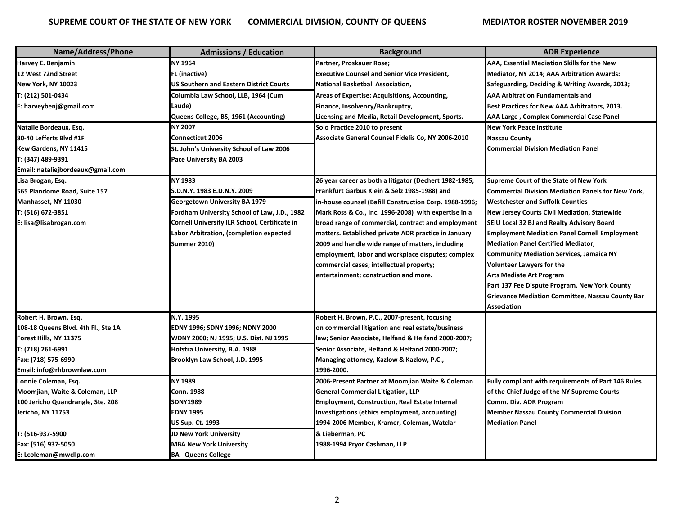| Name/Address/Phone                  | <b>Admissions / Education</b>                  | <b>Background</b>                                      | <b>ADR Experience</b>                                     |
|-------------------------------------|------------------------------------------------|--------------------------------------------------------|-----------------------------------------------------------|
| Harvey E. Benjamin                  | <b>NY 1964</b>                                 | Partner, Proskauer Rose;                               | AAA, Essential Mediation Skills for the New               |
| 12 West 72nd Street                 | FL (inactive)                                  | <b>Executive Counsel and Senior Vice President,</b>    | Mediator, NY 2014; AAA Arbitration Awards:                |
| New York, NY 10023                  | <b>US Southern and Eastern District Courts</b> | <b>National Basketball Association,</b>                | Safeguarding, Deciding & Writing Awards, 2013;            |
| T: (212) 501-0434                   | Columbia Law School, LLB, 1964 (Cum            | Areas of Expertise: Acquisitions, Accounting,          | <b>AAA Arbitration Fundamentals and</b>                   |
| E: harveybenj@gmail.com             | Laude)                                         | Finance, Insolvency/Bankruptcy,                        | Best Practices for New AAA Arbitrators, 2013.             |
|                                     | Queens College, BS, 1961 (Accounting)          | Licensing and Media, Retail Development, Sports.       | AAA Large, Complex Commercial Case Panel                  |
| Natalie Bordeaux, Esq.              | <b>NY 2007</b>                                 | Solo Practice 2010 to present                          | <b>New York Peace Institute</b>                           |
| 80-40 Lefferts Blvd #1F             | <b>Connecticut 2006</b>                        | Associate General Counsel Fidelis Co, NY 2006-2010     | <b>Nassau County</b>                                      |
| Kew Gardens, NY 11415               | St. John's University School of Law 2006       |                                                        | <b>Commercial Division Mediation Panel</b>                |
| T: (347) 489-9391                   | Pace University BA 2003                        |                                                        |                                                           |
| Email: nataliejbordeaux@gmail.com   |                                                |                                                        |                                                           |
| Lisa Brogan, Esq.                   | <b>NY 1983</b>                                 | 26 year career as both a litigator (Dechert 1982-1985; | <b>Supreme Court of the State of New York</b>             |
| 565 Plandome Road, Suite 157        | S.D.N.Y. 1983 E.D.N.Y. 2009                    | Frankfurt Garbus Klein & Selz 1985-1988) and           | <b>Commercial Division Mediation Panels for New York,</b> |
| Manhasset, NY 11030                 | Georgetown University BA 1979                  | in-house counsel (Bafill Construction Corp. 1988-1996; | <b>Westchester and Suffolk Counties</b>                   |
| T: (516) 672-3851                   | Fordham University School of Law, J.D., 1982   | Mark Ross & Co., Inc. 1996-2008) with expertise in a   | <b>New Jersey Courts Civil Mediation, Statewide</b>       |
| E: lisa@lisabrogan.com              | Cornell University ILR School, Certificate in  | broad range of commercial, contract and employment     | SEIU Local 32 BJ and Realty Advisory Board                |
|                                     | Labor Arbitration, (completion expected        | matters. Established private ADR practice in January   | <b>Employment Mediation Panel Cornell Employment</b>      |
|                                     | <b>Summer 2010)</b>                            | 2009 and handle wide range of matters, including       | <b>Mediation Panel Certified Mediator,</b>                |
|                                     |                                                | employment, labor and workplace disputes; complex      | <b>Community Mediation Services, Jamaica NY</b>           |
|                                     |                                                | commercial cases; intellectual property;               | <b>Volunteer Lawyers for the</b>                          |
|                                     |                                                | entertainment; construction and more.                  | Arts Mediate Art Program                                  |
|                                     |                                                |                                                        | Part 137 Fee Dispute Program, New York County             |
|                                     |                                                |                                                        | <b>Grievance Mediation Committee, Nassau County Bar</b>   |
|                                     |                                                |                                                        | <b>Association</b>                                        |
| Robert H. Brown, Esq.               | N.Y. 1995                                      | Robert H. Brown, P.C., 2007-present, focusing          |                                                           |
| 108-18 Queens Blvd. 4th Fl., Ste 1A | EDNY 1996; SDNY 1996; NDNY 2000                | on commercial litigation and real estate/business      |                                                           |
| Forest Hills, NY 11375              | WDNY 2000; NJ 1995; U.S. Dist. NJ 1995         | law; Senior Associate, Helfand & Helfand 2000-2007;    |                                                           |
| T: (718) 261-6991                   | Hofstra University, B.A. 1988                  | Senior Associate, Helfand & Helfand 2000-2007;         |                                                           |
| Fax: (718) 575-6990                 | Brooklyn Law School, J.D. 1995                 | Managing attorney, Kazlow & Kazlow, P.C.,              |                                                           |
| Email: info@rhbrownlaw.com          |                                                | 1996-2000.                                             |                                                           |
| Lonnie Coleman, Esq.                | <b>NY 1989</b>                                 | 2006-Present Partner at Moomjian Waite & Coleman       | Fully compliant with requirements of Part 146 Rules       |
| Moomjian, Waite & Coleman, LLP      | <b>Conn. 1988</b>                              | <b>General Commercial Litigation, LLP</b>              | of the Chief Judge of the NY Supreme Courts               |
| 100 Jericho Quandrangle, Ste. 208   | <b>SDNY1989</b>                                | <b>Employment, Construction, Real Estate Internal</b>  | Comm. Div. ADR Program                                    |
| Jericho, NY 11753                   | <b>EDNY 1995</b>                               | Investigations (ethics employment, accounting)         | <b>Member Nassau County Commercial Division</b>           |
|                                     | <b>US Sup. Ct. 1993</b>                        | 1994-2006 Member, Kramer, Coleman, Watclar             | <b>Mediation Panel</b>                                    |
| T: (516-937-5900                    | JD New York University                         | & Lieberman, PC                                        |                                                           |
| Fax: (516) 937-5050                 | <b>MBA New York University</b>                 | 1988-1994 Pryor Cashman, LLP                           |                                                           |
| E: Lcoleman@mwcllp.com              | <b>BA - Queens College</b>                     |                                                        |                                                           |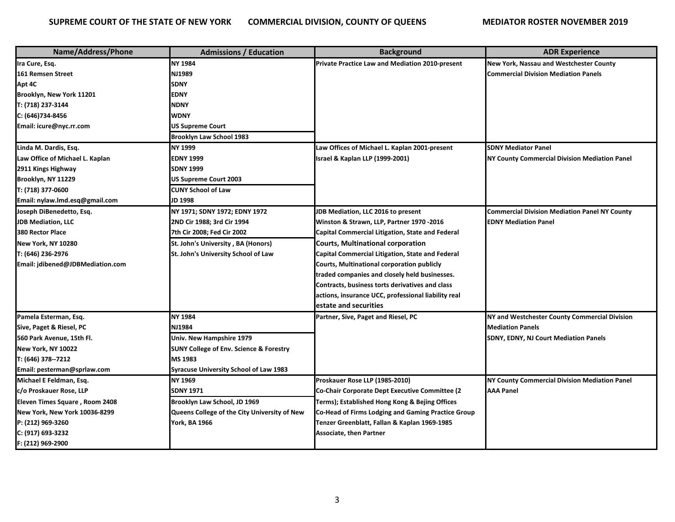| Name/Address/Phone               | <b>Admissions / Education</b>                      | <b>Background</b>                                      | <b>ADR Experience</b>                                |
|----------------------------------|----------------------------------------------------|--------------------------------------------------------|------------------------------------------------------|
| Ira Cure, Esq.                   | <b>NY 1984</b>                                     | <b>Private Practice Law and Mediation 2010-present</b> | <b>New York, Nassau and Westchester County</b>       |
| 161 Remsen Street                | NJ1989                                             |                                                        | <b>Commercial Division Mediation Panels</b>          |
| Apt 4C                           | <b>SDNY</b>                                        |                                                        |                                                      |
| Brooklyn, New York 11201         | <b>EDNY</b>                                        |                                                        |                                                      |
| T: (718) 237-3144                | <b>NDNY</b>                                        |                                                        |                                                      |
| C: (646)734-8456                 | <b>WDNY</b>                                        |                                                        |                                                      |
| Email: icure@nyc.rr.com          | <b>US Supreme Court</b>                            |                                                        |                                                      |
|                                  | <b>Brooklyn Law School 1983</b>                    |                                                        |                                                      |
| Linda M. Dardis, Esq.            | <b>NY 1999</b>                                     | Law Offices of Michael L. Kaplan 2001-present          | <b>SDNY Mediator Panel</b>                           |
| Law Office of Michael L. Kaplan  | <b>EDNY 1999</b>                                   | <b>Israel &amp; Kaplan LLP (1999-2001)</b>             | <b>NY County Commercial Division Mediation Panel</b> |
| 2911 Kings Highway               | <b>SDNY 1999</b>                                   |                                                        |                                                      |
| Brooklyn, NY 11229               | <b>US Supreme Court 2003</b>                       |                                                        |                                                      |
| T: (718) 377-0600                | <b>CUNY School of Law</b>                          |                                                        |                                                      |
| Email: nylaw.lmd.esq@gmail.com   | JD 1998                                            |                                                        |                                                      |
| Joseph DiBenedetto, Esq.         | NY 1971; SDNY 1972; EDNY 1972                      | JDB Mediation, LLC 2016 to present                     | <b>Commercial Division Mediation Panel NY County</b> |
| <b>JDB Mediation, LLC</b>        | 2ND Cir 1988; 3rd Cir 1994                         | Winston & Strawn, LLP, Partner 1970 -2016              | <b>EDNY Mediation Panel</b>                          |
| 380 Rector Place                 | 7th Cir 2008; Fed Cir 2002                         | Capital Commercial Litigation, State and Federal       |                                                      |
| New York, NY 10280               | St. John's University, BA (Honors)                 | <b>Courts, Multinational corporation</b>               |                                                      |
| T: (646) 236-2976                | St. John's University School of Law                | Capital Commercial Litigation, State and Federal       |                                                      |
| Email: jdibened@JDBMediation.com |                                                    | <b>Courts, Multinational corporation publicly</b>      |                                                      |
|                                  |                                                    | traded companies and closely held businesses.          |                                                      |
|                                  |                                                    | Contracts, business torts derivatives and class        |                                                      |
|                                  |                                                    | actions, insurance UCC, professional liability real    |                                                      |
|                                  |                                                    | estate and securities                                  |                                                      |
| Pamela Esterman, Esq.            | NY 1984                                            | Partner, Sive, Paget and Riesel, PC                    | NY and Westchester County Commercial Division        |
| Sive, Paget & Riesel, PC         | <b>NJ1984</b>                                      |                                                        | <b>Mediation Panels</b>                              |
| 560 Park Avenue, 15th Fl.        | Univ. New Hampshire 1979                           |                                                        | <b>SDNY, EDNY, NJ Court Mediation Panels</b>         |
| New York, NY 10022               | <b>SUNY College of Env. Science &amp; Forestry</b> |                                                        |                                                      |
| T: (646) 378--7212               | MS 1983                                            |                                                        |                                                      |
| Email: pesterman@sprlaw.com      | <b>Syracuse University School of Law 1983</b>      |                                                        |                                                      |
| Michael E Feldman, Esq.          | <b>NY 1969</b>                                     | Proskauer Rose LLP (1985-2010)                         | <b>NY County Commercial Division Mediation Panel</b> |
| c/o Proskauer Rose, LLP          | <b>SDNY 1971</b>                                   | Co-Chair Corporate Dept Executive Committee (2         | <b>AAA Panel</b>                                     |
| Eleven Times Square, Room 2408   | Brooklyn Law School, JD 1969                       | Terms); Established Hong Kong & Bejing Offices         |                                                      |
| New York, New York 10036-8299    | Queens College of the City University of New       | Co-Head of Firms Lodging and Gaming Practice Group     |                                                      |
| P: (212) 969-3260                | <b>York, BA 1966</b>                               | Tenzer Greenblatt, Fallan & Kaplan 1969-1985           |                                                      |
| C: (917) 693-3232                |                                                    | <b>Associate, then Partner</b>                         |                                                      |
| F: (212) 969-2900                |                                                    |                                                        |                                                      |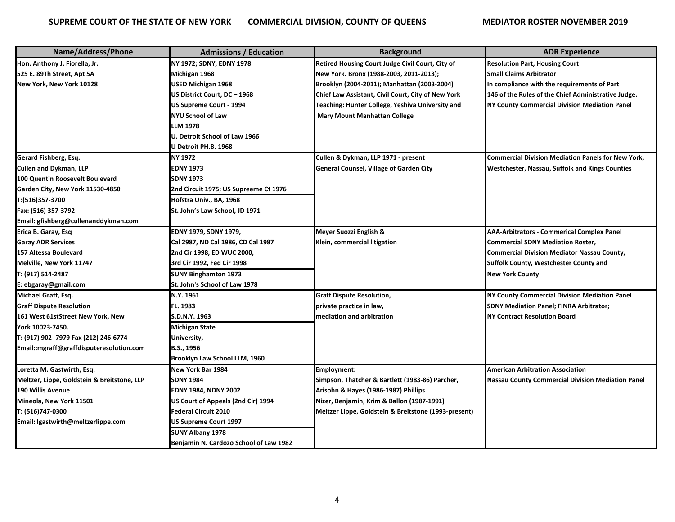| Name/Address/Phone                          | <b>Admissions / Education</b>          | <b>Background</b>                                    | <b>ADR Experience</b>                                     |
|---------------------------------------------|----------------------------------------|------------------------------------------------------|-----------------------------------------------------------|
| Hon. Anthony J. Fiorella, Jr.               | NY 1972; SDNY, EDNY 1978               | Retired Housing Court Judge Civil Court, City of     | <b>Resolution Part, Housing Court</b>                     |
| 525 E. 89Th Street, Apt 5A                  | Michigan 1968                          | New York. Bronx (1988-2003, 2011-2013);              | <b>Small Claims Arbitrator</b>                            |
| New York, New York 10128                    | USED Michigan 1968                     | Brooklyn (2004-2011); Manhattan (2003-2004)          | In compliance with the requirements of Part               |
|                                             | US District Court, DC - 1968           | Chief Law Assistant, Civil Court, City of New York   | 146 of the Rules of the Chief Administrative Judge.       |
|                                             | US Supreme Court - 1994                | Teaching: Hunter College, Yeshiva University and     | NY County Commercial Division Mediation Panel             |
|                                             | NYU School of Law                      | <b>Mary Mount Manhattan College</b>                  |                                                           |
|                                             | LLM 1978                               |                                                      |                                                           |
|                                             | U. Detroit School of Law 1966          |                                                      |                                                           |
|                                             | U Detroit PH.B. 1968                   |                                                      |                                                           |
| Gerard Fishberg, Esg.                       | NY 1972                                | Cullen & Dykman, LLP 1971 - present                  | <b>Commercial Division Mediation Panels for New York,</b> |
| Cullen and Dykman, LLP                      | <b>EDNY 1973</b>                       | <b>General Counsel, Village of Garden City</b>       | <b>Westchester, Nassau, Suffolk and Kings Counties</b>    |
| 100 Quentin Roosevelt Boulevard             | <b>SDNY 1973</b>                       |                                                      |                                                           |
| Garden City, New York 11530-4850            | 2nd Circuit 1975; US Supreeme Ct 1976  |                                                      |                                                           |
| T:(516)357-3700                             | Hofstra Univ., BA, 1968                |                                                      |                                                           |
| Fax: (516) 357-3792                         | St. John's Law School, JD 1971         |                                                      |                                                           |
| Email: gfishberg@cullenanddykman.com        |                                        |                                                      |                                                           |
| Erica B. Garay, Esq                         | EDNY 1979, SDNY 1979,                  | Meyer Suozzi English &                               | <b>AAA-Arbitrators - Commerical Complex Panel</b>         |
| <b>Garay ADR Services</b>                   | Cal 2987, ND Cal 1986, CD Cal 1987     | Klein, commercial litigation                         | <b>Commercial SDNY Mediation Roster,</b>                  |
| 157 Altessa Boulevard                       | 2nd Cir 1998, ED WUC 2000,             |                                                      | <b>Commercial Division Mediator Nassau County,</b>        |
| Melville, New York 11747                    | 3rd Cir 1992, Fed Cir 1998             |                                                      | Suffolk County, Westchester County and                    |
| T: (917) 514-2487                           | <b>SUNY Binghamton 1973</b>            |                                                      | <b>New York County</b>                                    |
| E: ebgaray@gmail.com                        | St. John's School of Law 1978          |                                                      |                                                           |
| Michael Graff, Esq.                         | N.Y. 1961                              | <b>Graff Dispute Resolution,</b>                     | NY County Commercial Division Mediation Panel             |
| <b>Graff Dispute Resolution</b>             | FL. 1983                               | private practice in law,                             | <b>SDNY Mediation Panel; FINRA Arbitrator;</b>            |
| 161 West 61stStreet New York, New           | S.D.N.Y. 1963                          | mediation and arbitration                            | <b>NY Contract Resolution Board</b>                       |
| York 10023-7450.                            | <b>Michigan State</b>                  |                                                      |                                                           |
| T: (917) 902- 7979 Fax (212) 246-6774       | University,                            |                                                      |                                                           |
| Email::mgraff@graffdisputeresolution.com    | B.S., 1956                             |                                                      |                                                           |
|                                             | Brooklyn Law School LLM, 1960          |                                                      |                                                           |
| Loretta M. Gastwirth, Esq.                  | New York Bar 1984                      | Employment:                                          | <b>American Arbitration Association</b>                   |
| Meltzer, Lippe, Goldstein & Breitstone, LLP | <b>SDNY 1984</b>                       | Simpson, Thatcher & Bartlett (1983-86) Parcher,      | <b>Nassau County Commercial Division Mediation Panel</b>  |
| <b>190 Willis Avenue</b>                    | <b>EDNY 1984, NDNY 2002</b>            | Arisohn & Hayes (1986-1987) Phillips                 |                                                           |
| Mineola, New York 11501                     | US Court of Appeals (2nd Cir) 1994     | Nizer, Benjamin, Krim & Ballon (1987-1991)           |                                                           |
| T: (516)747-0300                            | <b>Federal Circuit 2010</b>            | Meltzer Lippe, Goldstein & Breitstone (1993-present) |                                                           |
| Email: Igastwirth@meltzerlippe.com          | <b>US Supreme Court 1997</b>           |                                                      |                                                           |
|                                             | SUNY Albany 1978                       |                                                      |                                                           |
|                                             | Benjamin N. Cardozo School of Law 1982 |                                                      |                                                           |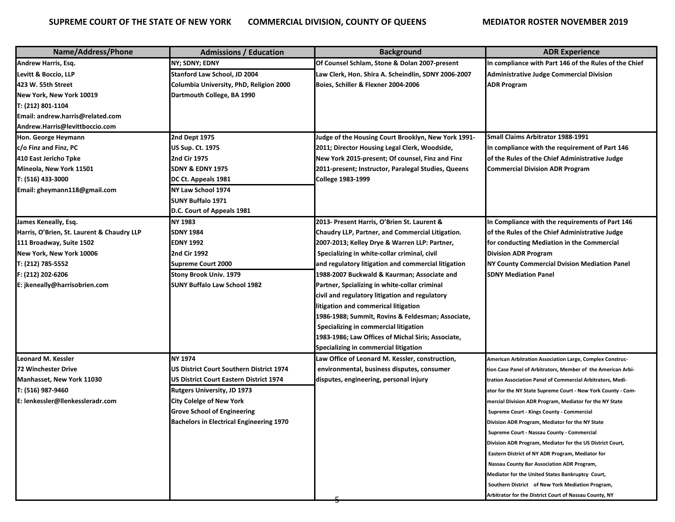| Name/Address/Phone                         | <b>Admissions / Education</b>                   | <b>Background</b>                                   | <b>ADR Experience</b>                                            |
|--------------------------------------------|-------------------------------------------------|-----------------------------------------------------|------------------------------------------------------------------|
| <b>Andrew Harris, Esq.</b>                 | NY; SDNY; EDNY                                  | Of Counsel Schlam, Stone & Dolan 2007-present       | In compliance with Part 146 of the Rules of the Chief            |
| Levitt & Boccio, LLP                       | Stanford Law School, JD 2004                    | Law Clerk, Hon. Shira A. Scheindlin, SDNY 2006-2007 | <b>Administrative Judge Commercial Division</b>                  |
| 423 W. 55th Street                         | Columbia University, PhD, Religion 2000         | Boies, Schiller & Flexner 2004-2006                 | <b>ADR Program</b>                                               |
| New York, New York 10019                   | Dartmouth College, BA 1990                      |                                                     |                                                                  |
| T: (212) 801-1104                          |                                                 |                                                     |                                                                  |
| Email: andrew.harris@related.com           |                                                 |                                                     |                                                                  |
| Andrew.Harris@levittboccio.com             |                                                 |                                                     |                                                                  |
| Hon. George Heymann                        | 2nd Dept 1975                                   | Judge of the Housing Court Brooklyn, New York 1991- | Small Claims Arbitrator 1988-1991                                |
| c/o Finz and Finz, PC                      | <b>US Sup. Ct. 1975</b>                         | 2011; Director Housing Legal Clerk, Woodside,       | In compliance with the requirement of Part 146                   |
| 410 East Jericho Tpke                      | 2nd Cir 1975                                    | New York 2015-present; Of counsel, Finz and Finz    | of the Rules of the Chief Administrative Judge                   |
| Mineola, New York 11501                    | <b>SDNY &amp; EDNY 1975</b>                     | 2011-present; Instructor, Paralegal Studies, Queens | <b>Commercial Division ADR Program</b>                           |
| T: (516) 433-3000                          | DC Ct. Appeals 1981                             | <b>College 1983-1999</b>                            |                                                                  |
| Email: gheymann118@gmail.com               | NY Law School 1974                              |                                                     |                                                                  |
|                                            | <b>SUNY Buffalo 1971</b>                        |                                                     |                                                                  |
|                                            | D.C. Court of Appeals 1981                      |                                                     |                                                                  |
| James Keneally, Esq.                       | <b>NY 1983</b>                                  | 2013- Present Harris, O'Brien St. Laurent &         | In Compliance with the requirements of Part 146                  |
| Harris, O'Brien, St. Laurent & Chaudry LLP | SDNY 1984                                       | Chaudry LLP, Partner, and Commercial Litigation.    | of the Rules of the Chief Administrative Judge                   |
| 111 Broadway, Suite 1502                   | EDNY 1992                                       | 2007-2013; Kelley Drye & Warren LLP: Partner,       | for conducting Mediation in the Commercial                       |
| New York, New York 10006                   | 2nd Cir 1992                                    | Specializing in white-collar criminal, civil        | <b>Division ADR Program</b>                                      |
| T: (212) 785-5552                          | <b>Supreme Court 2000</b>                       | and regulatory litigation and commercial litigation | NY County Commercial Dvision Mediation Panel                     |
| F: (212) 202-6206                          | <b>Stony Brook Univ. 1979</b>                   | 1988-2007 Buckwald & Kaurman; Associate and         | <b>SDNY Mediation Panel</b>                                      |
| E: jkeneally@harrisobrien.com              | <b>SUNY Buffalo Law School 1982</b>             | Partner, Spcializing in white-collar criminal       |                                                                  |
|                                            |                                                 | civil and regulatory litigation and regulatory      |                                                                  |
|                                            |                                                 | litigation and commerical litigation                |                                                                  |
|                                            |                                                 | 1986-1988; Summit, Rovins & Feldesman; Associate,   |                                                                  |
|                                            |                                                 | Specializing in commercial litigation               |                                                                  |
|                                            |                                                 | 1983-1986; Law Offices of Michal Siris; Associate,  |                                                                  |
|                                            |                                                 | Specializing in commercial litigation               |                                                                  |
| <b>Leonard M. Kessler</b>                  | NY 1974                                         | Law Office of Leonard M. Kessler, construction,     | <b>American Arbitration Association Large, Complex Construc-</b> |
| 72 Winchester Drive                        | <b>US District Court Southern District 1974</b> | environmental, business disputes, consumer          | tion Case Panel of Arbitrators, Member of the American Arbi-     |
| Manhasset, New York 11030                  | <b>US District Court Eastern District 1974</b>  | disputes, engineering, personal injury              | tration Association Panel of Commercial Arbitrators, Medi-       |
| T: (516) 987-9460                          | <b>Rutgers University, JD 1973</b>              |                                                     | ator for the NY State Supreme Court - New York County - Com-     |
| E: lenkessler@llenkessleradr.com           | <b>City Colelge of New York</b>                 |                                                     | mercial Division ADR Program, Mediator for the NY State          |
|                                            | <b>Grove School of Engineering</b>              |                                                     | Supreme Court - Kings County - Commercial                        |
|                                            | <b>Bachelors in Electrical Engineering 1970</b> |                                                     | Division ADR Program, Mediator for the NY State                  |
|                                            |                                                 |                                                     | Supreme Court - Nassau County - Commercial                       |
|                                            |                                                 |                                                     | Division ADR Program, Mediator for the US District Court,        |
|                                            |                                                 |                                                     | Eastern District of NY ADR Program, Mediator for                 |
|                                            |                                                 |                                                     | Nassau County Bar Association ADR Program,                       |
|                                            |                                                 |                                                     | Mediator for the United States Bankruptcy Court,                 |
|                                            |                                                 |                                                     | Southern District of New York Mediation Program,                 |
|                                            |                                                 |                                                     | Arbitrator for the District Court of Nassau County, NY           |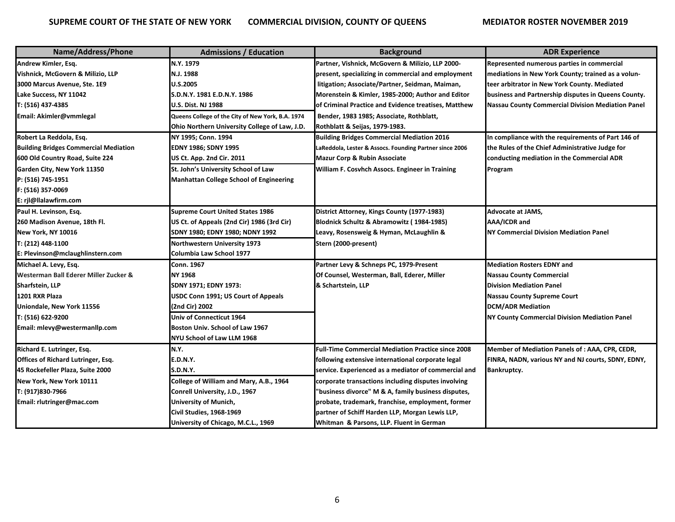| Name/Address/Phone                           | <b>Admissions / Education</b>                     | <b>Background</b>                                         | <b>ADR Experience</b>                                    |
|----------------------------------------------|---------------------------------------------------|-----------------------------------------------------------|----------------------------------------------------------|
| Andrew Kimler, Esq.                          | N.Y. 1979                                         | Partner, Vishnick, McGovern & Milizio, LLP 2000-          | Represented numerous parties in commercial               |
| Vishnick, McGovern & Milizio, LLP            | N.J. 1988                                         | present, specializing in commercial and employment        | mediations in New York County; trained as a volun-       |
| 3000 Marcus Avenue, Ste. 1E9                 | <b>U.S.2005</b>                                   | litigation; Associate/Partner, Seidman, Maiman,           | teer arbitrator in New York County. Mediated             |
| Lake Success, NY 11042                       | S.D.N.Y. 1981 E.D.N.Y. 1986                       | Morenstein & Kimler, 1985-2000; Author and Editor         | business and Partnership disputes in Queens County.      |
| T: (516) 437-4385                            | <b>U.S. Dist. NJ 1988</b>                         | of Criminal Practice and Evidence treatises, Matthew      | <b>Nassau County Commercial Division Mediation Panel</b> |
| Email: Akimler@vmmlegal                      | Queens College of the City of New York, B.A. 1974 | Bender, 1983 1985; Associate, Rothblatt,                  |                                                          |
|                                              | Ohio Northern University College of Law, J.D.     | Rothblatt & Seijas, 1979-1983.                            |                                                          |
| Robert La Reddola, Esq.                      | NY 1995; Conn. 1994                               | <b>Building Bridges Commercial Mediation 2016</b>         | In compliance with the requirements of Part 146 of       |
| <b>Building Bridges Commercial Mediation</b> | EDNY 1986; SDNY 1995                              | LaReddola, Lester & Assocs. Founding Partner since 2006   | the Rules of the Chief Administrative Judge for          |
| 600 Old Country Road, Suite 224              | US Ct. App. 2nd Cir. 2011                         | <b>Mazur Corp &amp; Rubin Associate</b>                   | conducting mediation in the Commercial ADR               |
| Garden City, New York 11350                  | St. John's University School of Law               | William F. Cosvhch Assocs. Engineer in Training           | Program                                                  |
| P: (516) 745-1951                            | <b>Manhattan College School of Engineering</b>    |                                                           |                                                          |
| F: (516) 357-0069                            |                                                   |                                                           |                                                          |
| E: rjl@llalawfirm.com                        |                                                   |                                                           |                                                          |
| Paul H. Levinson, Esq.                       | <b>Supreme Court United States 1986</b>           | District Attorney, Kings County (1977-1983)               | <b>Advocate at JAMS,</b>                                 |
| 260 Madison Avenue, 18th Fl.                 | US Ct. of Appeals (2nd Cir) 1986 (3rd Cir)        | Blodnick Schultz & Abramowitz (1984-1985)                 | AAA/ICDR and                                             |
| <b>New York, NY 10016</b>                    | SDNY 1980; EDNY 1980; NDNY 1992                   | Leavy, Rosensweig & Hyman, McLaughlin &                   | <b>NY Commercial Division Mediation Panel</b>            |
| T: (212) 448-1100                            | Northwestern University 1973                      | Stern (2000-present)                                      |                                                          |
| E: Plevinson@mclaughlinstern.com             | Columbia Law School 1977                          |                                                           |                                                          |
| Michael A. Levy, Esq.                        | Conn. 1967                                        | Partner Levy & Schneps PC, 1979-Present                   | <b>Mediation Rosters EDNY and</b>                        |
| Westerman Ball Ederer Miller Zucker &        | <b>NY 1968</b>                                    | Of Counsel, Westerman, Ball, Ederer, Miller               | <b>Nassau County Commercial</b>                          |
| <b>Sharfstein, LLP</b>                       | SDNY 1971; EDNY 1973:                             | & Schartstein, LLP                                        | <b>Division Mediation Panel</b>                          |
| 1201 RXR Plaza                               | USDC Conn 1991; US Court of Appeals               |                                                           | <b>Nassau County Supreme Court</b>                       |
| Uniondale, New York 11556                    | (2nd Cir) 2002                                    |                                                           | <b>DCM/ADR Mediation</b>                                 |
| T: (516) 622-9200                            | Univ of Connecticut 1964                          |                                                           | <b>NY County Commercial Division Mediation Panel</b>     |
| Email: mlevy@westermanllp.com                | Boston Univ. School of Law 1967                   |                                                           |                                                          |
|                                              | NYU School of Law LLM 1968                        |                                                           |                                                          |
| Richard E. Lutringer, Esq.                   | N.Y.                                              | <b>Full-Time Commercial Mediation Practice since 2008</b> | Member of Mediation Panels of : AAA, CPR, CEDR,          |
| <b>Offices of Richard Lutringer, Esq.</b>    | E.D.N.Y.                                          | following extensive international corporate legal         | FINRA, NADN, various NY and NJ courts, SDNY, EDNY,       |
| 45 Rockefeller Plaza, Suite 2000             | S.D.N.Y.                                          | service. Experienced as a mediator of commercial and      | <b>Bankruptcy.</b>                                       |
| New York, New York 10111                     | College of William and Mary, A.B., 1964           | corporate transactions including disputes involving       |                                                          |
| T: (917)830-7966                             | Conrell University, J.D., 1967                    | "business divorce" M & A, family business disputes,       |                                                          |
| Email: rlutringer@mac.com                    | University of Munich,                             | probate, trademark, franchise, employment, former         |                                                          |
|                                              | Civil Studies, 1968-1969                          | partner of Schiff Harden LLP, Morgan Lewis LLP,           |                                                          |
|                                              | University of Chicago, M.C.L., 1969               | Whitman & Parsons, LLP. Fluent in German                  |                                                          |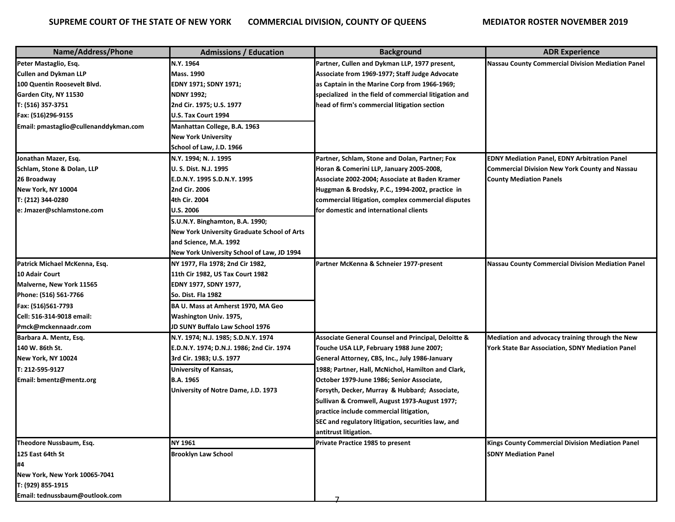| Name/Address/Phone                    | <b>Admissions / Education</b>               | <b>Background</b>                                     | <b>ADR Experience</b>                                    |
|---------------------------------------|---------------------------------------------|-------------------------------------------------------|----------------------------------------------------------|
| Peter Mastaglio, Esq.                 | N.Y. 1964                                   | Partner, Cullen and Dykman LLP, 1977 present,         | <b>Nassau County Commercial Division Mediation Panel</b> |
| <b>Cullen and Dykman LLP</b>          | <b>Mass. 1990</b>                           | Associate from 1969-1977; Staff Judge Advocate        |                                                          |
| 100 Quentin Roosevelt Blvd.           | EDNY 1971; SDNY 1971;                       | as Captain in the Marine Corp from 1966-1969;         |                                                          |
| Garden City, NY 11530                 | <b>NDNY 1992;</b>                           | specialized in the field of commercial litigation and |                                                          |
| T: (516) 357-3751                     | 2nd Cir. 1975; U.S. 1977                    | head of firm's commercial litigation section          |                                                          |
| Fax: (516)296-9155                    | U.S. Tax Court 1994                         |                                                       |                                                          |
| Email: pmastaglio@cullenanddykman.com | Manhattan College, B.A. 1963                |                                                       |                                                          |
|                                       | <b>New York University</b>                  |                                                       |                                                          |
|                                       | School of Law, J.D. 1966                    |                                                       |                                                          |
| Jonathan Mazer, Esq.                  | N.Y. 1994; N. J. 1995                       | Partner, Schlam, Stone and Dolan, Partner; Fox        | <b>EDNY Mediation Panel, EDNY Arbitration Panel</b>      |
| Schlam, Stone & Dolan, LLP            | U. S. Dist. N.J. 1995                       | Horan & Comerini LLP, January 2005-2008,              | <b>Commercial Division New York County and Nassau</b>    |
| 26 Broadway                           | E.D.N.Y. 1995 S.D.N.Y. 1995                 | Associate 2002-2004; Associate at Baden Kramer        | <b>County Mediation Panels</b>                           |
| New York, NY 10004                    | 2nd Cir. 2006                               | Huggman & Brodsky, P.C., 1994-2002, practice in       |                                                          |
| T: (212) 344-0280                     | 4th Cir. 2004                               | commercial litigation, complex commercial disputes    |                                                          |
| e: Jmazer@schlamstone.com             | <b>U.S. 2006</b>                            | for domestic and international clients                |                                                          |
|                                       | S.U.N.Y. Binghamton, B.A. 1990;             |                                                       |                                                          |
|                                       | New York University Graduate School of Arts |                                                       |                                                          |
|                                       | and Science, M.A. 1992                      |                                                       |                                                          |
|                                       | New York University School of Law, JD 1994  |                                                       |                                                          |
| Patrick Michael McKenna, Esq.         | NY 1977, Fla 1978; 2nd Cir 1982,            | Partner McKenna & Schneier 1977-present               | <b>Nassau County Commercial Division Mediation Panel</b> |
| 10 Adair Court                        | 11th Cir 1982, US Tax Court 1982            |                                                       |                                                          |
| Malverne, New York 11565              | EDNY 1977, SDNY 1977,                       |                                                       |                                                          |
| Phone: (516) 561-7766                 | So. Dist. Fla 1982                          |                                                       |                                                          |
| Fax: (516)561-7793                    | BA U. Mass at Amherst 1970, MA Geo          |                                                       |                                                          |
| Cell: 516-314-9018 email:             | Washington Univ. 1975,                      |                                                       |                                                          |
| Pmck@mckennaadr.com                   | JD SUNY Buffalo Law School 1976             |                                                       |                                                          |
| Barbara A. Mentz, Esq.                | N.Y. 1974; N.J. 1985; S.D.N.Y. 1974         | Associate General Counsel and Principal, Deloitte &   | Mediation and advocacy training through the New          |
| 140 W. 86th St.                       | E.D.N.Y. 1974; D.N.J. 1986; 2nd Cir. 1974   | Touche USA LLP, February 1988 June 2007;              | York State Bar Association, SDNY Mediation Panel         |
| New York, NY 10024                    | 3rd Cir. 1983; U.S. 1977                    | General Attorney, CBS, Inc., July 1986-January        |                                                          |
| T: 212-595-9127                       | <b>University of Kansas,</b>                | 1988; Partner, Hall, McNichol, Hamilton and Clark,    |                                                          |
| Email: bmentz@mentz.org               | <b>B.A. 1965</b>                            | October 1979-June 1986; Senior Associate,             |                                                          |
|                                       | University of Notre Dame, J.D. 1973         | Forsyth, Decker, Murray & Hubbard; Associate,         |                                                          |
|                                       |                                             | Sullivan & Cromwell, August 1973-August 1977;         |                                                          |
|                                       |                                             | practice include commercial litigation,               |                                                          |
|                                       |                                             | SEC and regulatory litigation, securities law, and    |                                                          |
|                                       |                                             | antitrust litigation.                                 |                                                          |
| Theodore Nussbaum, Esq.               | NY 1961                                     | Private Practice 1985 to present                      | Kings County Commercial Division Mediation Panel         |
| 125 East 64th St                      | <b>Brooklyn Law School</b>                  |                                                       | <b>SDNY Mediation Panel</b>                              |
| #4                                    |                                             |                                                       |                                                          |
| New York, New York 10065-7041         |                                             |                                                       |                                                          |
| T: (929) 855-1915                     |                                             |                                                       |                                                          |
| Email: tednussbaum@outlook.com        |                                             |                                                       |                                                          |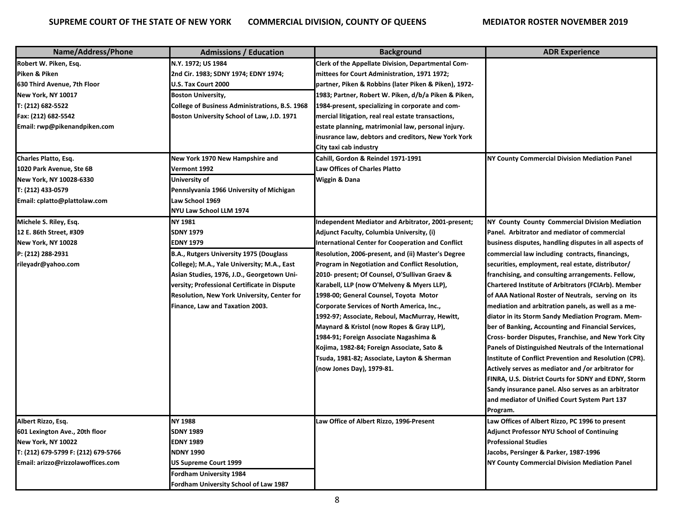| Name/Address/Phone                  | <b>Admissions / Education</b>                  | <b>Background</b>                                     | <b>ADR Experience</b>                                  |
|-------------------------------------|------------------------------------------------|-------------------------------------------------------|--------------------------------------------------------|
| Robert W. Piken, Esq.               | N.Y. 1972; US 1984                             | Clerk of the Appellate Division, Departmental Com-    |                                                        |
| Piken & Piken                       | 2nd Cir. 1983; SDNY 1974; EDNY 1974;           | mittees for Court Administration, 1971 1972;          |                                                        |
| 630 Third Avenue, 7th Floor         | U.S. Tax Court 2000                            | partner, Piken & Robbins (later Piken & Piken), 1972- |                                                        |
| New York, NY 10017                  | <b>Boston University,</b>                      | 1983; Partner, Robert W. Piken, d/b/a Piken & Piken,  |                                                        |
| T: (212) 682-5522                   | College of Business Administrations, B.S. 1968 | 1984-present, specializing in corporate and com-      |                                                        |
| Fax: (212) 682-5542                 | Boston University School of Law, J.D. 1971     | mercial litigation, real real estate transactions,    |                                                        |
| Email: rwp@pikenandpiken.com        |                                                | estate planning, matrimonial law, personal injury.    |                                                        |
|                                     |                                                | inusrance law, debtors and creditors, New York York   |                                                        |
|                                     |                                                | City taxi cab industry                                |                                                        |
| Charles Platto, Esq.                | New York 1970 New Hampshire and                | Cahill, Gordon & Reindel 1971-1991                    | <b>NY County Commercial Division Mediation Panel</b>   |
| 1020 Park Avenue, Ste 6B            | Vermont 1992                                   | <b>Law Offices of Charles Platto</b>                  |                                                        |
| New York, NY 10028-6330             | University of                                  | Wiggin & Dana                                         |                                                        |
| T: (212) 433-0579                   | Pennslyvania 1966 University of Michigan       |                                                       |                                                        |
| Email: cplatto@plattolaw.com        | Law School 1969                                |                                                       |                                                        |
|                                     | NYU Law School LLM 1974                        |                                                       |                                                        |
| Michele S. Riley, Esq.              | NY 1981                                        | Independent Mediator and Arbitrator, 2001-present;    | NY County County Commercial Division Mediation         |
| 12 E. 86th Street, #309             | <b>SDNY 1979</b>                               | Adjunct Faculty, Columbia University, (i)             | Panel. Arbitrator and mediator of commercial           |
| New York, NY 10028                  | EDNY 1979                                      | International Center for Cooperation and Conflict     | business disputes, handling disputes in all aspects of |
| P: (212) 288-2931                   | B.A., Rutgers University 1975 (Douglass        | Resolution, 2006-present, and (ii) Master's Degree    | commercial law including contracts, financings,        |
| rileyadr@yahoo.com                  | College); M.A., Yale University; M.A., East    | Program in Negotiation and Conflict Resolution,       | securities, employment, real estate, distributor/      |
|                                     | Asian Studies, 1976, J.D., Georgetown Uni-     | 2010- present; Of Counsel, O'Sullivan Graev &         | franchising, and consulting arrangements. Fellow,      |
|                                     | versity; Professional Certificate in Dispute   | Karabell, LLP (now O'Melveny & Myers LLP),            | Chartered Institute of Arbitrators (FCIArb). Member    |
|                                     | Resolution, New York University, Center for    | 1998-00; General Counsel, Toyota Motor                | of AAA National Roster of Neutrals, serving on its     |
|                                     | Finance, Law and Taxation 2003.                | Corporate Services of North America, Inc.,            | mediation and arbitration panels, as well as a me-     |
|                                     |                                                | 1992-97; Associate, Reboul, MacMurray, Hewitt,        | diator in its Storm Sandy Mediation Program. Mem-      |
|                                     |                                                | Maynard & Kristol (now Ropes & Gray LLP),             | ber of Banking, Accounting and Financial Services,     |
|                                     |                                                | 1984-91; Foreign Associate Nagashima &                | Cross- border Disputes, Franchise, and New York City   |
|                                     |                                                | Kojima, 1982-84; Foreign Associate, Sato &            | Panels of Distinguished Neutrals of the International  |
|                                     |                                                | Tsuda, 1981-82; Associate, Layton & Sherman           | Institute of Conflict Prevention and Resolution (CPR). |
|                                     |                                                | (now Jones Day), 1979-81.                             | Actively serves as mediator and /or arbitrator for     |
|                                     |                                                |                                                       | FINRA, U.S. District Courts for SDNY and EDNY, Storm   |
|                                     |                                                |                                                       | Sandy insurance panel. Also serves as an arbitrator    |
|                                     |                                                |                                                       | and mediator of Unified Court System Part 137          |
|                                     |                                                |                                                       | Program.                                               |
| Albert Rizzo. Esa.                  | <b>NY 1988</b>                                 | Law Office of Albert Rizzo, 1996-Present              | Law Offices of Albert Rizzo, PC 1996 to present        |
| 601 Lexington Ave., 20th floor      | <b>SDNY 1989</b>                               |                                                       | <b>Adjunct Professor NYU School of Continuing</b>      |
| New York, NY 10022                  | <b>EDNY 1989</b>                               |                                                       | <b>Professional Studies</b>                            |
| T: (212) 679-5799 F: (212) 679-5766 | NDNY 1990                                      |                                                       | Jacobs, Persinger & Parker, 1987-1996                  |
| Email: arizzo@rizzolawoffices.com   | <b>US Supreme Court 1999</b>                   |                                                       | <b>NY County Commercial Division Mediation Panel</b>   |
|                                     | Fordham University 1984                        |                                                       |                                                        |
|                                     | Fordham University School of Law 1987          |                                                       |                                                        |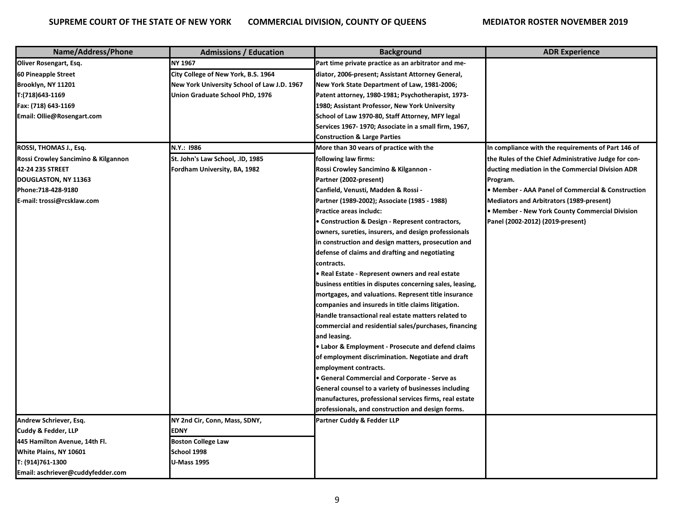| Name/Address/Phone                  | <b>Admissions / Education</b>               | <b>Background</b>                                        | <b>ADR Experience</b>                                |
|-------------------------------------|---------------------------------------------|----------------------------------------------------------|------------------------------------------------------|
| Oliver Rosengart, Esq.              | NY 1967                                     | Part time private practice as an arbitrator and me-      |                                                      |
| 60 Pineapple Street                 | City College of New York, B.S. 1964         | diator, 2006-present; Assistant Attorney General,        |                                                      |
| Brooklyn, NY 11201                  | New York University School of Law J.D. 1967 | New York State Department of Law, 1981-2006;             |                                                      |
| T:(718)643-1169                     | Union Graduate School PhD, 1976             | Patent attorney, 1980-1981; Psychotherapist, 1973-       |                                                      |
| Fax: (718) 643-1169                 |                                             | 1980; Assistant Professor, New York University           |                                                      |
| Email: Ollie@Rosengart.com          |                                             | School of Law 1970-80, Staff Attorney, MFY legal         |                                                      |
|                                     |                                             | Services 1967-1970; Associate in a small firm, 1967,     |                                                      |
|                                     |                                             | <b>Construction &amp; Large Parties</b>                  |                                                      |
| ROSSI, THOMAS J., Esq.              | N.Y.: 1986                                  | More than 30 vears of practice with the                  | In compliance with the requirements of Part 146 of   |
| Rossi Crowley Sancimino & Kilgannon | St. John's Law School, .ID, 1985            | following law firms:                                     | the Rules of the Chief Administrative Judge for con- |
| 42-24 235 STREET                    | Fordham University, BA, 1982                | Rossi Crowley Sancimino & Kilgannon -                    | ducting mediation in the Commercial Division ADR     |
| DOUGLASTON, NY 11363                |                                             | Partner (2002-present)                                   | Program.                                             |
| Phone:718-428-9180                  |                                             | Canfield, Venusti, Madden & Rossi -                      | • Member - AAA Panel of Commercial & Construction    |
| E-mail: trossi@rcsklaw.com          |                                             | Partner (1989-2002); Associate (1985 - 1988)             | Mediators and Arbitrators (1989-present)             |
|                                     |                                             | Practice areas includc:                                  | • Member - New York County Commercial Division       |
|                                     |                                             | • Construction & Design - Represent contractors,         | Panel (2002-2012) (2019-present)                     |
|                                     |                                             | owners, sureties, insurers, and design professionals     |                                                      |
|                                     |                                             | in construction and design matters, prosecution and      |                                                      |
|                                     |                                             | defense of claims and drafting and negotiating           |                                                      |
|                                     |                                             | contracts.                                               |                                                      |
|                                     |                                             | • Real Estate - Represent owners and real estate         |                                                      |
|                                     |                                             | business entities in disputes concerning sales, leasing, |                                                      |
|                                     |                                             | mortgages, and valuations. Represent title insurance     |                                                      |
|                                     |                                             | companies and insureds in title claims litigation.       |                                                      |
|                                     |                                             | Handle transactional real estate matters related to      |                                                      |
|                                     |                                             | commercial and residential sales/purchases, financing    |                                                      |
|                                     |                                             | and leasing.                                             |                                                      |
|                                     |                                             | • Labor & Employment - Prosecute and defend claims       |                                                      |
|                                     |                                             | of employment discrimination. Negotiate and draft        |                                                      |
|                                     |                                             | employment contracts.                                    |                                                      |
|                                     |                                             | • General Commercial and Corporate - Serve as            |                                                      |
|                                     |                                             | General counsel to a variety of businesses including     |                                                      |
|                                     |                                             | manufactures, professional services firms, real estate   |                                                      |
|                                     |                                             | professionals, and construction and design forms.        |                                                      |
| Andrew Schriever, Esg.              | NY 2nd Cir, Conn, Mass, SDNY,               | Partner Cuddy & Fedder LLP                               |                                                      |
| Cuddy & Fedder, LLP                 | <b>EDNY</b>                                 |                                                          |                                                      |
| 445 Hamilton Avenue, 14th Fl.       | <b>Boston College Law</b>                   |                                                          |                                                      |
| White Plains, NY 10601              | School 1998                                 |                                                          |                                                      |
| T: (914)761-1300                    | <b>U-Mass 1995</b>                          |                                                          |                                                      |
| Email: aschriever@cuddyfedder.com   |                                             |                                                          |                                                      |